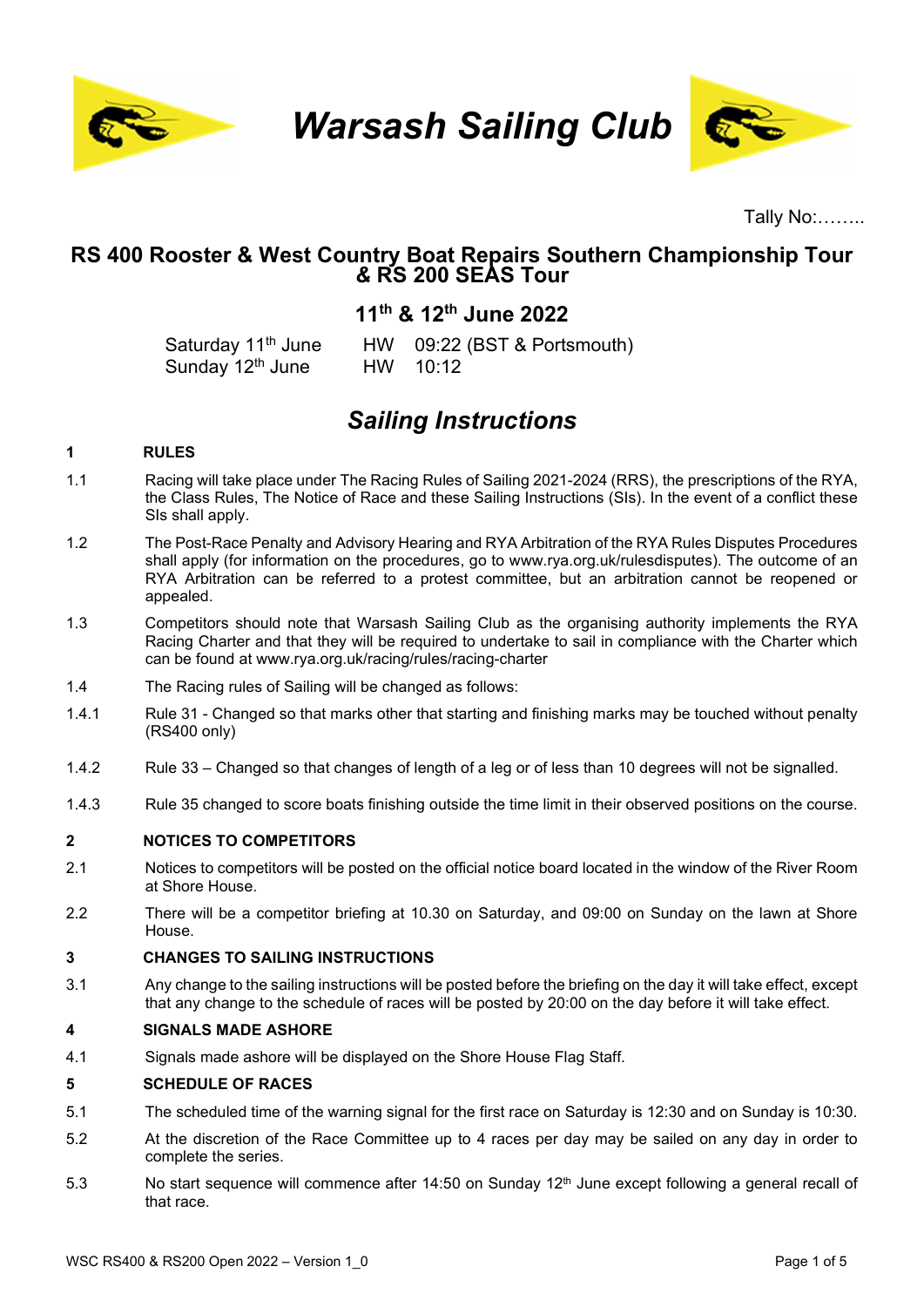

Warsash Sailing Club



Tally No:……..

## RS 400 Rooster & West Country Boat Repairs Southern Championship Tour & RS 200 SEAS Tour

# 11th & 12th June 2022

Saturday 11<sup>th</sup> June HW 09:22 (BST & Portsmouth) Sunday 12<sup>th</sup> June HW 10:12

# Sailing Instructions

#### 1 RULES

- 1.1 Racing will take place under The Racing Rules of Sailing 2021-2024 (RRS), the prescriptions of the RYA, the Class Rules, The Notice of Race and these Sailing Instructions (SIs). In the event of a conflict these SIs shall apply.
- 1.2 The Post-Race Penalty and Advisory Hearing and RYA Arbitration of the RYA Rules Disputes Procedures shall apply (for information on the procedures, go to www.rya.org.uk/rulesdisputes). The outcome of an RYA Arbitration can be referred to a protest committee, but an arbitration cannot be reopened or appealed.
- 1.3 Competitors should note that Warsash Sailing Club as the organising authority implements the RYA Racing Charter and that they will be required to undertake to sail in compliance with the Charter which can be found at www.rya.org.uk/racing/rules/racing-charter
- 1.4 The Racing rules of Sailing will be changed as follows:
- 1.4.1 Rule 31 Changed so that marks other that starting and finishing marks may be touched without penalty (RS400 only)
- 1.4.2 Rule 33 Changed so that changes of length of a leg or of less than 10 degrees will not be signalled.
- 1.4.3 Rule 35 changed to score boats finishing outside the time limit in their observed positions on the course.

#### 2 NOTICES TO COMPETITORS

- 2.1 Notices to competitors will be posted on the official notice board located in the window of the River Room at Shore House.
- 2.2 There will be a competitor briefing at 10.30 on Saturday, and 09:00 on Sunday on the lawn at Shore House.

#### 3 CHANGES TO SAILING INSTRUCTIONS

3.1 Any change to the sailing instructions will be posted before the briefing on the day it will take effect, except that any change to the schedule of races will be posted by 20:00 on the day before it will take effect.

#### 4 SIGNALS MADE ASHORE

4.1 Signals made ashore will be displayed on the Shore House Flag Staff.

#### 5 SCHEDULE OF RACES

- 5.1 The scheduled time of the warning signal for the first race on Saturday is 12:30 and on Sunday is 10:30.
- 5.2 At the discretion of the Race Committee up to 4 races per day may be sailed on any day in order to complete the series.
- 5.3 No start sequence will commence after 14:50 on Sunday 12<sup>th</sup> June except following a general recall of that race.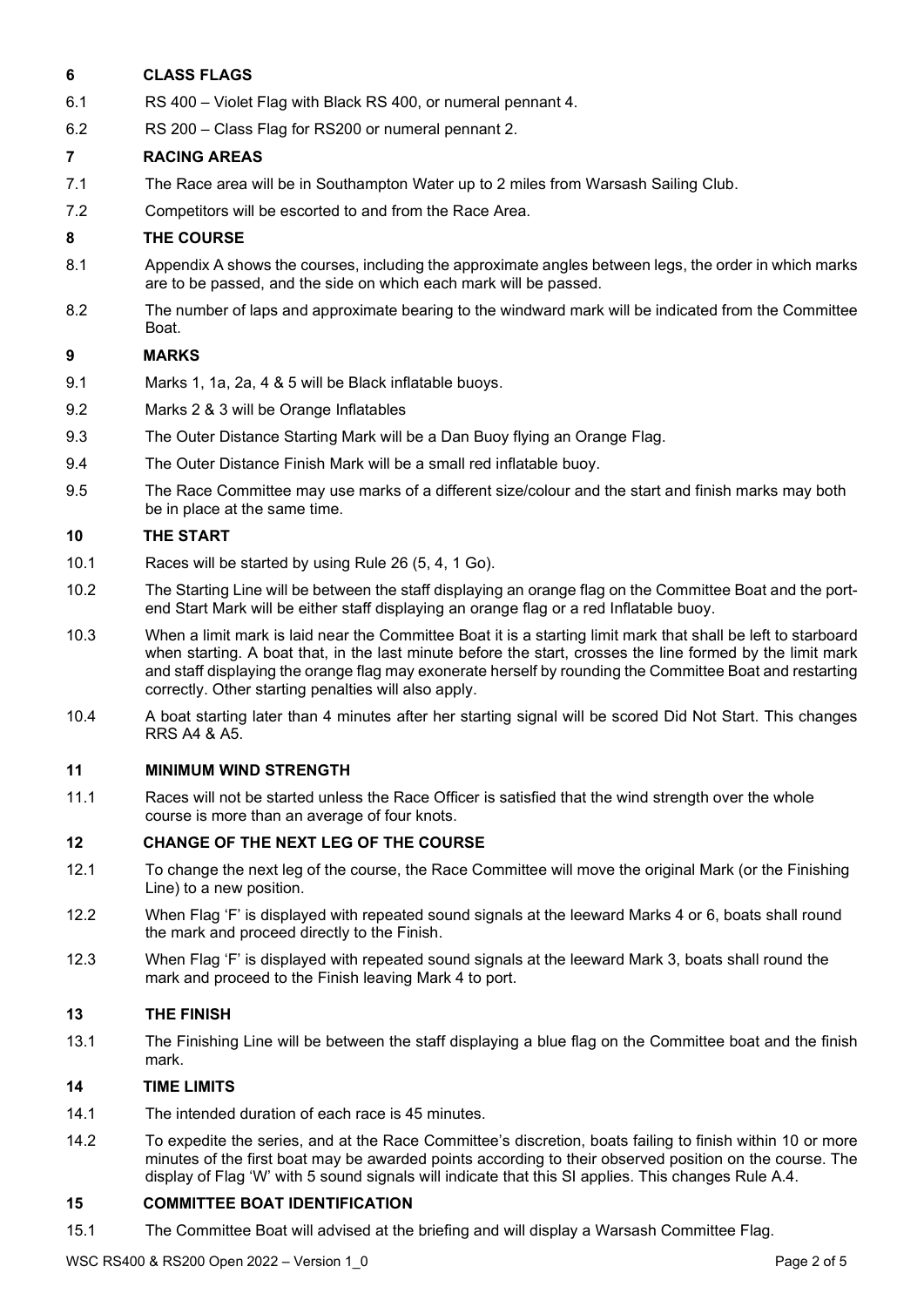#### 6 CLASS FLAGS

- 6.1 RS 400 Violet Flag with Black RS 400, or numeral pennant 4.
- 6.2 RS 200 Class Flag for RS200 or numeral pennant 2.

#### 7 RACING AREAS

- 7.1 The Race area will be in Southampton Water up to 2 miles from Warsash Sailing Club.
- 7.2 Competitors will be escorted to and from the Race Area.

#### 8 THE COURSE

- 8.1 Appendix A shows the courses, including the approximate angles between legs, the order in which marks are to be passed, and the side on which each mark will be passed.
- 8.2 The number of laps and approximate bearing to the windward mark will be indicated from the Committee Boat.

#### 9 MARKS

- 9.1 Marks 1, 1a, 2a, 4 & 5 will be Black inflatable buoys.
- 9.2 Marks 2 & 3 will be Orange Inflatables
- 9.3 The Outer Distance Starting Mark will be a Dan Buoy flying an Orange Flag.
- 9.4 The Outer Distance Finish Mark will be a small red inflatable buoy.
- 9.5 The Race Committee may use marks of a different size/colour and the start and finish marks may both be in place at the same time.

#### 10 THE START

- 10.1 Races will be started by using Rule 26 (5, 4, 1 Go).
- 10.2 The Starting Line will be between the staff displaying an orange flag on the Committee Boat and the portend Start Mark will be either staff displaying an orange flag or a red Inflatable buoy.
- 10.3 When a limit mark is laid near the Committee Boat it is a starting limit mark that shall be left to starboard when starting. A boat that, in the last minute before the start, crosses the line formed by the limit mark and staff displaying the orange flag may exonerate herself by rounding the Committee Boat and restarting correctly. Other starting penalties will also apply.
- 10.4 A boat starting later than 4 minutes after her starting signal will be scored Did Not Start. This changes RRS A4 & A5.

#### 11 MINIMUM WIND STRENGTH

11.1 Races will not be started unless the Race Officer is satisfied that the wind strength over the whole course is more than an average of four knots.

#### 12 CHANGE OF THE NEXT LEG OF THE COURSE

- 12.1 To change the next leg of the course, the Race Committee will move the original Mark (or the Finishing Line) to a new position.
- 12.2 When Flag 'F' is displayed with repeated sound signals at the leeward Marks 4 or 6, boats shall round the mark and proceed directly to the Finish.
- 12.3 When Flag 'F' is displayed with repeated sound signals at the leeward Mark 3, boats shall round the mark and proceed to the Finish leaving Mark 4 to port.

#### 13 THE FINISH

13.1 The Finishing Line will be between the staff displaying a blue flag on the Committee boat and the finish mark.

#### 14 TIME LIMITS

- 14.1 The intended duration of each race is 45 minutes.
- 14.2 To expedite the series, and at the Race Committee's discretion, boats failing to finish within 10 or more minutes of the first boat may be awarded points according to their observed position on the course. The display of Flag 'W' with 5 sound signals will indicate that this SI applies. This changes Rule A.4.

#### 15 COMMITTEE BOAT IDENTIFICATION

15.1 The Committee Boat will advised at the briefing and will display a Warsash Committee Flag.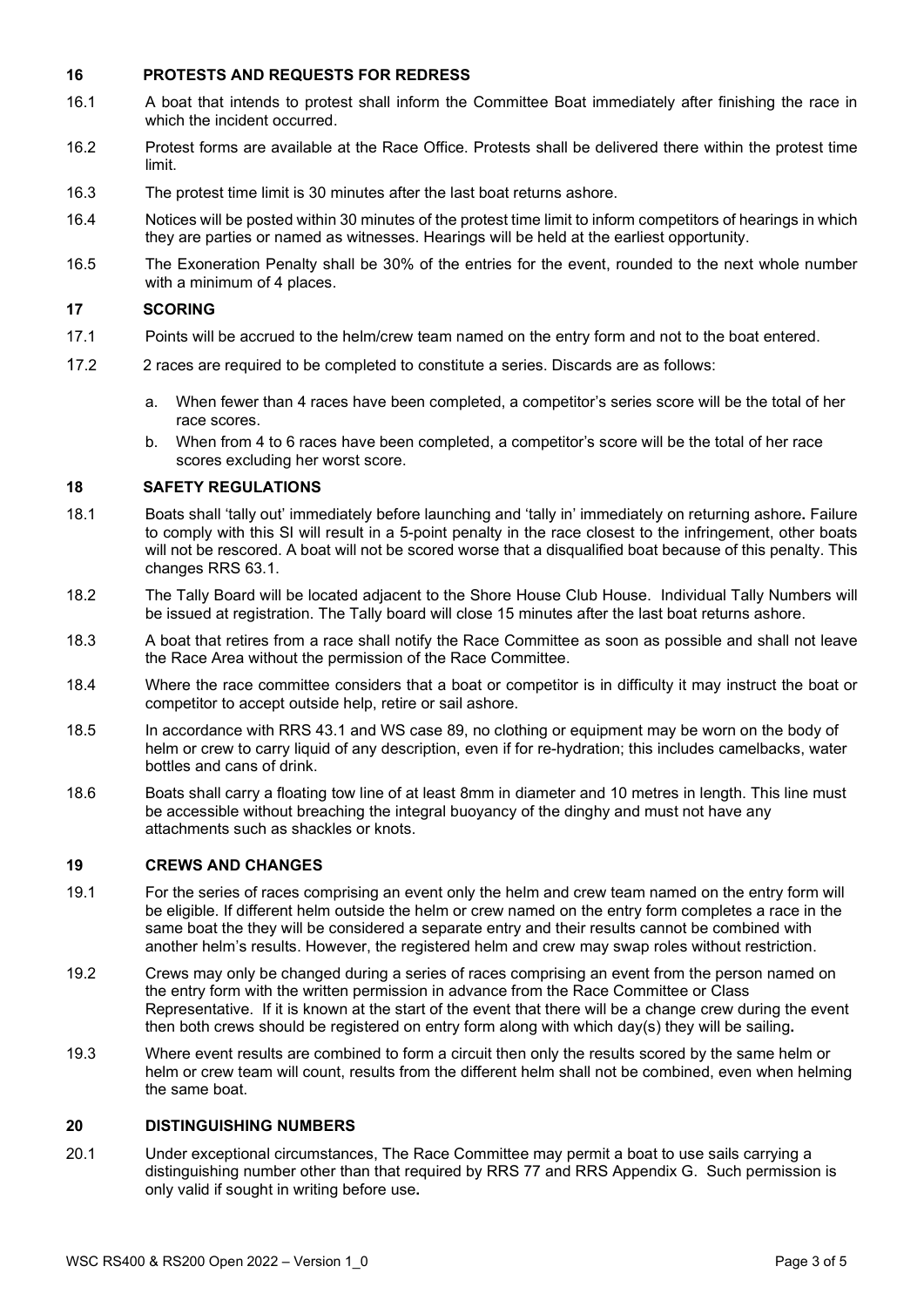#### 16 PROTESTS AND REQUESTS FOR REDRESS

- 16.1 A boat that intends to protest shall inform the Committee Boat immediately after finishing the race in which the incident occurred.
- 16.2 Protest forms are available at the Race Office. Protests shall be delivered there within the protest time limit.
- 16.3 The protest time limit is 30 minutes after the last boat returns ashore.
- 16.4 Notices will be posted within 30 minutes of the protest time limit to inform competitors of hearings in which they are parties or named as witnesses. Hearings will be held at the earliest opportunity.
- 16.5 The Exoneration Penalty shall be 30% of the entries for the event, rounded to the next whole number with a minimum of 4 places.

#### 17 SCORING

- 17.1 Points will be accrued to the helm/crew team named on the entry form and not to the boat entered.
- 17.2 2 races are required to be completed to constitute a series. Discards are as follows:
	- a. When fewer than 4 races have been completed, a competitor's series score will be the total of her race scores.
	- b. When from 4 to 6 races have been completed, a competitor's score will be the total of her race scores excluding her worst score.

#### 18 SAFETY REGULATIONS

- 18.1 Boats shall 'tally out' immediately before launching and 'tally in' immediately on returning ashore. Failure to comply with this SI will result in a 5-point penalty in the race closest to the infringement, other boats will not be rescored. A boat will not be scored worse that a disqualified boat because of this penalty. This changes RRS 63.1.
- 18.2 The Tally Board will be located adjacent to the Shore House Club House. Individual Tally Numbers will be issued at registration. The Tally board will close 15 minutes after the last boat returns ashore.
- 18.3 A boat that retires from a race shall notify the Race Committee as soon as possible and shall not leave the Race Area without the permission of the Race Committee.
- 18.4 Where the race committee considers that a boat or competitor is in difficulty it may instruct the boat or competitor to accept outside help, retire or sail ashore.
- 18.5 In accordance with RRS 43.1 and WS case 89, no clothing or equipment may be worn on the body of helm or crew to carry liquid of any description, even if for re-hydration; this includes camelbacks, water bottles and cans of drink.
- 18.6 Boats shall carry a floating tow line of at least 8mm in diameter and 10 metres in length. This line must be accessible without breaching the integral buoyancy of the dinghy and must not have any attachments such as shackles or knots.

#### 19 CREWS AND CHANGES

- 19.1 For the series of races comprising an event only the helm and crew team named on the entry form will be eligible. If different helm outside the helm or crew named on the entry form completes a race in the same boat the they will be considered a separate entry and their results cannot be combined with another helm's results. However, the registered helm and crew may swap roles without restriction.
- 19.2 Crews may only be changed during a series of races comprising an event from the person named on the entry form with the written permission in advance from the Race Committee or Class Representative. If it is known at the start of the event that there will be a change crew during the event then both crews should be registered on entry form along with which day(s) they will be sailing.
- 19.3 Where event results are combined to form a circuit then only the results scored by the same helm or helm or crew team will count, results from the different helm shall not be combined, even when helming the same boat.

#### 20 DISTINGUISHING NUMBERS

20.1 Under exceptional circumstances, The Race Committee may permit a boat to use sails carrying a distinguishing number other than that required by RRS 77 and RRS Appendix G. Such permission is only valid if sought in writing before use.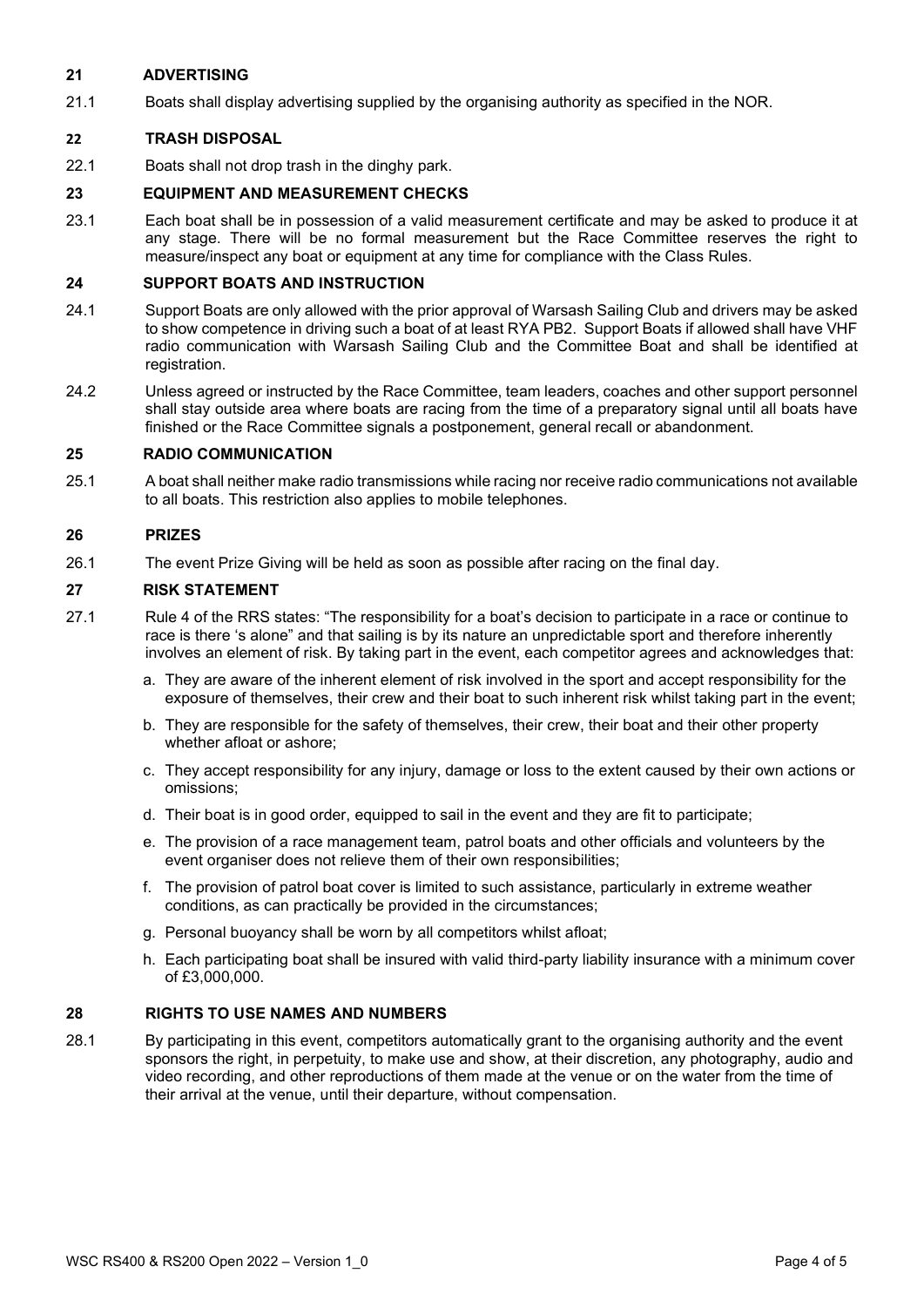#### 21 ADVERTISING

21.1 Boats shall display advertising supplied by the organising authority as specified in the NOR.

#### 22 TRASH DISPOSAL

22.1 Boats shall not drop trash in the dinghy park.

#### 23 EQUIPMENT AND MEASUREMENT CHECKS

23.1 Each boat shall be in possession of a valid measurement certificate and may be asked to produce it at any stage. There will be no formal measurement but the Race Committee reserves the right to measure/inspect any boat or equipment at any time for compliance with the Class Rules.

#### 24 SUPPORT BOATS AND INSTRUCTION

- 24.1 Support Boats are only allowed with the prior approval of Warsash Sailing Club and drivers may be asked to show competence in driving such a boat of at least RYA PB2. Support Boats if allowed shall have VHF radio communication with Warsash Sailing Club and the Committee Boat and shall be identified at registration.
- 24.2 Unless agreed or instructed by the Race Committee, team leaders, coaches and other support personnel shall stay outside area where boats are racing from the time of a preparatory signal until all boats have finished or the Race Committee signals a postponement, general recall or abandonment.

#### 25 RADIO COMMUNICATION

25.1 A boat shall neither make radio transmissions while racing nor receive radio communications not available to all boats. This restriction also applies to mobile telephones.

#### 26 PRIZES

26.1 The event Prize Giving will be held as soon as possible after racing on the final day.

#### 27 RISK STATEMENT

- 27.1 Rule 4 of the RRS states: "The responsibility for a boat's decision to participate in a race or continue to race is there 's alone" and that sailing is by its nature an unpredictable sport and therefore inherently involves an element of risk. By taking part in the event, each competitor agrees and acknowledges that:
	- a. They are aware of the inherent element of risk involved in the sport and accept responsibility for the exposure of themselves, their crew and their boat to such inherent risk whilst taking part in the event;
	- b. They are responsible for the safety of themselves, their crew, their boat and their other property whether afloat or ashore;
	- c. They accept responsibility for any injury, damage or loss to the extent caused by their own actions or omissions;
	- d. Their boat is in good order, equipped to sail in the event and they are fit to participate;
	- e. The provision of a race management team, patrol boats and other officials and volunteers by the event organiser does not relieve them of their own responsibilities;
	- f. The provision of patrol boat cover is limited to such assistance, particularly in extreme weather conditions, as can practically be provided in the circumstances;
	- g. Personal buoyancy shall be worn by all competitors whilst afloat;
	- h. Each participating boat shall be insured with valid third-party liability insurance with a minimum cover of £3,000,000.

#### 28 RIGHTS TO USE NAMES AND NUMBERS

28.1 By participating in this event, competitors automatically grant to the organising authority and the event sponsors the right, in perpetuity, to make use and show, at their discretion, any photography, audio and video recording, and other reproductions of them made at the venue or on the water from the time of their arrival at the venue, until their departure, without compensation.